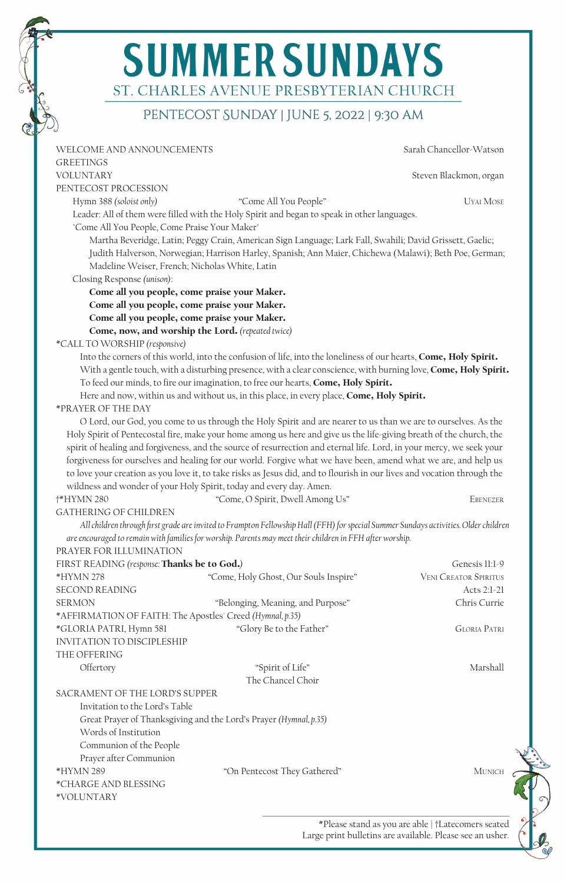# **SUMMER SUNDAYS** ST. CHARLES AVENUE PRESBYTERIAN CHURCH

# PENTECOST SUNDAY | JUNE 5, 2022 | 9:30 AM

| WELCOME AND ANNOUNCEMENTS                                 |                                                                                                                                                                                                                                                                       |                              |
|-----------------------------------------------------------|-----------------------------------------------------------------------------------------------------------------------------------------------------------------------------------------------------------------------------------------------------------------------|------------------------------|
|                                                           |                                                                                                                                                                                                                                                                       | Sarah Chancellor-Watson      |
| <b>GREETINGS</b>                                          |                                                                                                                                                                                                                                                                       |                              |
| <b>VOLUNTARY</b>                                          |                                                                                                                                                                                                                                                                       | Steven Blackmon, organ       |
| PENTECOST PROCESSION                                      |                                                                                                                                                                                                                                                                       |                              |
| Hymn 388 (soloist only)                                   | "Come All You People"                                                                                                                                                                                                                                                 | <b>UYAI MOSE</b>             |
|                                                           | Leader: All of them were filled with the Holy Spirit and began to speak in other languages.                                                                                                                                                                           |                              |
| "Come All You People, Come Praise Your Maker"             |                                                                                                                                                                                                                                                                       |                              |
|                                                           | Martha Beveridge, Latin; Peggy Crain, American Sign Language; Lark Fall, Swahili; David Grissett, Gaelic;<br>Judith Halverson, Norwegian; Harrison Harley, Spanish; Ann Maier, Chichewa (Malawi); Beth Poe, German;<br>Madeline Weiser, French; Nicholas White, Latin |                              |
| Closing Response (unison):                                |                                                                                                                                                                                                                                                                       |                              |
|                                                           | Come all you people, come praise your Maker.                                                                                                                                                                                                                          |                              |
|                                                           | Come all you people, come praise your Maker.                                                                                                                                                                                                                          |                              |
|                                                           | Come all you people, come praise your Maker.                                                                                                                                                                                                                          |                              |
|                                                           | Come, now, and worship the Lord. (repeated twice)                                                                                                                                                                                                                     |                              |
| *CALL TO WORSHIP (responsive)                             |                                                                                                                                                                                                                                                                       |                              |
|                                                           | Into the corners of this world, into the confusion of life, into the loneliness of our hearts, Come, Holy Spirit.                                                                                                                                                     |                              |
|                                                           | With a gentle touch, with a disturbing presence, with a clear conscience, with burning love, Come, Holy Spirit.                                                                                                                                                       |                              |
|                                                           | To feed our minds, to fire our imagination, to free our hearts, Come, Holy Spirit.                                                                                                                                                                                    |                              |
|                                                           | Here and now, within us and without us, in this place, in every place, Come, Holy Spirit.                                                                                                                                                                             |                              |
| *PRAYER OF THE DAY                                        |                                                                                                                                                                                                                                                                       |                              |
|                                                           | O Lord, our God, you come to us through the Holy Spirit and are nearer to us than we are to ourselves. As the                                                                                                                                                         |                              |
|                                                           | Holy Spirit of Pentecostal fire, make your home among us here and give us the life-giving breath of the church, the                                                                                                                                                   |                              |
|                                                           | spirit of healing and forgiveness, and the source of resurrection and eternal life. Lord, in your mercy, we seek your                                                                                                                                                 |                              |
|                                                           | forgiveness for ourselves and healing for our world. Forgive what we have been, amend what we are, and help us                                                                                                                                                        |                              |
|                                                           | to love your creation as you love it, to take risks as Jesus did, and to flourish in our lives and vocation through the                                                                                                                                               |                              |
|                                                           | wildness and wonder of your Holy Spirit, today and every day. Amen.                                                                                                                                                                                                   |                              |
| <b>†*HYMN 280</b>                                         | "Come, O Spirit, Dwell Among Us"                                                                                                                                                                                                                                      |                              |
|                                                           |                                                                                                                                                                                                                                                                       |                              |
|                                                           |                                                                                                                                                                                                                                                                       | EBENEZER                     |
| <b>GATHERING OF CHILDREN</b>                              |                                                                                                                                                                                                                                                                       |                              |
|                                                           | All children through first grade are invited to Frampton Fellowship Hall (FFH) for special Summer Sundays activities. Older children                                                                                                                                  |                              |
|                                                           | are encouraged to remain with families for worship. Parents may meet their children in FFH after worship.                                                                                                                                                             |                              |
| PRAYER FOR ILLUMINATION                                   |                                                                                                                                                                                                                                                                       |                              |
| FIRST READING (response: Thanks be to God.)               |                                                                                                                                                                                                                                                                       | Genesis 11:1-9               |
| *HYMN 278                                                 | "Come, Holy Ghost, Our Souls Inspire"                                                                                                                                                                                                                                 | <b>VENI CREATOR SPIRITUS</b> |
| <b>SECOND READING</b>                                     |                                                                                                                                                                                                                                                                       | Acts 2:1-21                  |
| <b>SERMON</b>                                             | "Belonging, Meaning, and Purpose"                                                                                                                                                                                                                                     | Chris Currie                 |
| *AFFIRMATION OF FAITH: The Apostles' Creed (Hymnal, p.35) |                                                                                                                                                                                                                                                                       |                              |
| *GLORIA PATRI, Hymn 581                                   | "Glory Be to the Father"                                                                                                                                                                                                                                              | <b>GLORIA PATRI</b>          |
| <b>INVITATION TO DISCIPLESHIP</b>                         |                                                                                                                                                                                                                                                                       |                              |
| THE OFFERING                                              |                                                                                                                                                                                                                                                                       |                              |
| Offertory                                                 | "Spirit of Life"                                                                                                                                                                                                                                                      | Marshall                     |
|                                                           | The Chancel Choir                                                                                                                                                                                                                                                     |                              |
| SACRAMENT OF THE LORD'S SUPPER                            |                                                                                                                                                                                                                                                                       |                              |
| Invitation to the Lord's Table                            |                                                                                                                                                                                                                                                                       |                              |
|                                                           | Great Prayer of Thanksgiving and the Lord's Prayer (Hymnal, p.35)                                                                                                                                                                                                     |                              |
| Words of Institution                                      |                                                                                                                                                                                                                                                                       |                              |
| Communion of the People                                   |                                                                                                                                                                                                                                                                       |                              |
| Prayer after Communion                                    |                                                                                                                                                                                                                                                                       |                              |
| *HYMN 289                                                 | "On Pentecost They Gathered"                                                                                                                                                                                                                                          | MUNICH                       |
| *CHARGE AND BLESSING                                      |                                                                                                                                                                                                                                                                       |                              |

\*Please stand as you are able | †Latecomers seated Large print bulletins are available. Please see an usher.